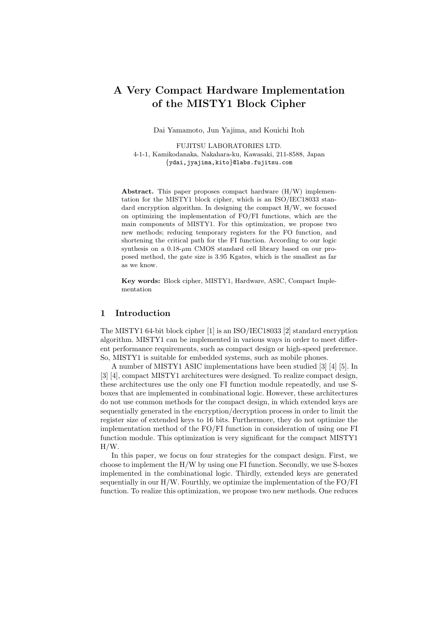# **A Very Compact Hardware Implementation of the MISTY1 Block Cipher**

Dai Yamamoto, Jun Yajima, and Kouichi Itoh

FUJITSU LABORATORIES LTD. 4-1-1, Kamikodanaka, Nakahara-ku, Kawasaki, 211-8588, Japan *{*ydai,jyajima,kito*}*@labs.fujitsu.com

**Abstract.** This paper proposes compact hardware (H/W) implementation for the MISTY1 block cipher, which is an ISO/IEC18033 standard encryption algorithm. In designing the compact H/W, we focused on optimizing the implementation of FO/FI functions, which are the main components of MISTY1. For this optimization, we propose two new methods; reducing temporary registers for the FO function, and shortening the critical path for the FI function. According to our logic synthesis on a 0.18-*µ*m CMOS standard cell library based on our proposed method, the gate size is 3.95 Kgates, which is the smallest as far as we know.

**Key words:** Block cipher, MISTY1, Hardware, ASIC, Compact Implementation

### **1 Introduction**

The MISTY1 64-bit block cipher [1] is an ISO/IEC18033 [2] standard encryption algorithm. MISTY1 can be implemented in various ways in order to meet different performance requirements, such as compact design or high-speed preference. So, MISTY1 is suitable for embedded systems, such as mobile phones.

A number of MISTY1 ASIC implementations have been studied [3] [4] [5]. In [3] [4], compact MISTY1 architectures were designed. To realize compact design, these architectures use the only one FI function module repeatedly, and use Sboxes that are implemented in combinational logic. However, these architectures do not use common methods for the compact design, in which extended keys are sequentially generated in the encryption/decryption process in order to limit the register size of extended keys to 16 bits. Furthermore, they do not optimize the implementation method of the FO/FI function in consideration of using one FI function module. This optimization is very significant for the compact MISTY1 H/W.

In this paper, we focus on four strategies for the compact design. First, we choose to implement the H/W by using one FI function. Secondly, we use S-boxes implemented in the combinational logic. Thirdly, extended keys are generated sequentially in our  $H/W$ . Fourthly, we optimize the implementation of the  $FO/FI$ function. To realize this optimization, we propose two new methods. One reduces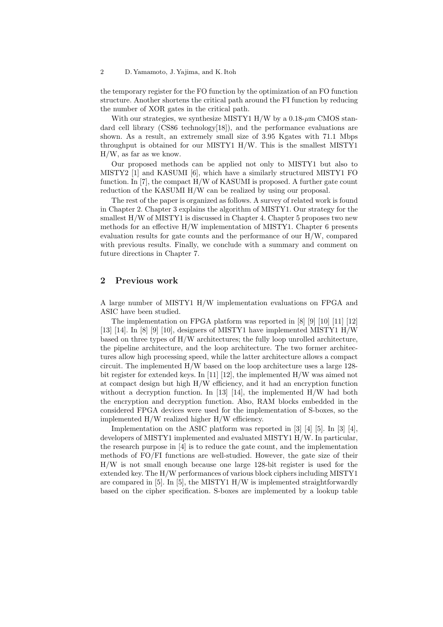### 2 D. Yamamoto, J. Yajima, and K. Itoh

the temporary register for the FO function by the optimization of an FO function structure. Another shortens the critical path around the FI function by reducing the number of XOR gates in the critical path.

With our strategies, we synthesize MISTY1 H/W by a  $0.18~\mu$ m CMOS standard cell library (CS86 technology[18]), and the performance evaluations are shown. As a result, an extremely small size of 3.95 Kgates with 71.1 Mbps throughput is obtained for our MISTY1 H/W. This is the smallest MISTY1 H/W, as far as we know.

Our proposed methods can be applied not only to MISTY1 but also to MISTY2  $[1]$  and KASUMI  $[6]$ , which have a similarly structured MISTY1 FO function. In [7], the compact H/W of KASUMI is proposed. A further gate count reduction of the KASUMI H/W can be realized by using our proposal.

The rest of the paper is organized as follows. A survey of related work is found in Chapter 2. Chapter 3 explains the algorithm of MISTY1. Our strategy for the smallest H/W of MISTY1 is discussed in Chapter 4. Chapter 5 proposes two new methods for an effective H/W implementation of MISTY1. Chapter 6 presents evaluation results for gate counts and the performance of our H/W, compared with previous results. Finally, we conclude with a summary and comment on future directions in Chapter 7.

# **2 Previous work**

A large number of MISTY1 H/W implementation evaluations on FPGA and ASIC have been studied.

The implementation on FPGA platform was reported in [8] [9] [10] [11] [12] [13] [14]. In [8] [9] [10], designers of MISTY1 have implemented MISTY1 H/W based on three types of H/W architectures; the fully loop unrolled architecture, the pipeline architecture, and the loop architecture. The two former architectures allow high processing speed, while the latter architecture allows a compact circuit. The implemented  $H/W$  based on the loop architecture uses a large 128bit register for extended keys. In [11] [12], the implemented H/W was aimed not at compact design but high H/W efficiency, and it had an encryption function without a decryption function. In [13] [14], the implemented  $H/W$  had both the encryption and decryption function. Also, RAM blocks embedded in the considered FPGA devices were used for the implementation of S-boxes, so the implemented H/W realized higher H/W efficiency.

Implementation on the ASIC platform was reported in [3] [4] [5]. In [3] [4], developers of MISTY1 implemented and evaluated MISTY1 H/W. In particular, the research purpose in [4] is to reduce the gate count, and the implementation methods of FO/FI functions are well-studied. However, the gate size of their H/W is not small enough because one large 128-bit register is used for the extended key. The H/W performances of various block ciphers including MISTY1 are compared in  $[5]$ . In  $[5]$ , the MISTY1  $H/W$  is implemented straightforwardly based on the cipher specification. S-boxes are implemented by a lookup table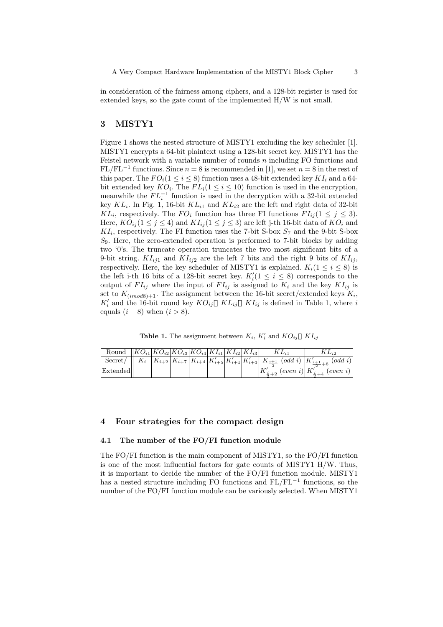in consideration of the fairness among ciphers, and a 128-bit register is used for extended keys, so the gate count of the implemented  $H/W$  is not small.

# **3 MISTY1**

Figure 1 shows the nested structure of MISTY1 excluding the key scheduler [1]. MISTY1 encrypts a 64-bit plaintext using a 128-bit secret key. MISTY1 has the Feistel network with a variable number of rounds *n* including FO functions and  $FL/FL^{-1}$  functions. Since  $n = 8$  is recommended in [1], we set  $n = 8$  in the rest of this paper. The  $FO_i(1 \leq i \leq 8)$  function uses a 48-bit extended key  $KI_i$  and a 64bit extended key  $KO_i$ . The  $FL_i(1 \leq i \leq 10)$  function is used in the encryption, meanwhile the  $FL_i^{-1}$  function is used in the decryption with a 32-bit extended key  $KL_i$ . In Fig. 1, 16-bit  $KL_{i1}$  and  $KL_{i2}$  are the left and right data of 32-bit *KL*<sub>*i*</sub>, respectively. The *FO*<sub>*i*</sub> function has three FI functions  $FI_{ij}$  (1  $\leq j \leq 3$ ). Here,  $KO_{ij}$  ( $1 \leq j \leq 4$ ) and  $KI_{ij}$  ( $1 \leq j \leq 3$ ) are left j-th 16-bit data of  $KO_i$  and  $KI_i$ , respectively. The FI function uses the 7-bit S-box  $S_7$  and the 9-bit S-box *S*9. Here, the zero-extended operation is performed to 7-bit blocks by adding two '0's. The truncate operation truncates the two most significant bits of a 9-bit string.  $KI_{ij1}$  and  $KI_{ij2}$  are the left 7 bits and the right 9 bits of  $KI_{ij}$ , respectively. Here, the key scheduler of MISTY1 is explained.  $K_i(1 \leq i \leq 8)$  is the left i-th 16 bits of a 128-bit secret key.  $K'_{i}(1 \leq i \leq 8)$  corresponds to the output of  $FI_{ij}$  where the input of  $FI_{ij}$  is assigned to  $K_i$  and the key  $KI_{ij}$  is set to  $K_{(imod8)+1}$ . The assignment between the 16-bit secret/extended keys  $K_i$ ,  $K'_{i}$  and the 16-bit round key  $KO_{ij}$  *KL*<sub>*ij*</sub> *KL*<sub>*ij*</sub> is defined in Table 1, where *i* equals  $(i-8)$  when  $(i > 8)$ .

**Table 1.** The assignment between  $K_i$ ,  $K'_i$  and  $KO_{ij}$   $KI_{ij}$ 

| Round $ KO_{i1} KO_{i2} KO_{i3} KO_{i4} KI_{i1} KI_{i2} KI_{i3} $ |  |  |  | $KL_{i1}$ | K Li2                                                                                                                                     |
|-------------------------------------------------------------------|--|--|--|-----------|-------------------------------------------------------------------------------------------------------------------------------------------|
|                                                                   |  |  |  |           | Secret/   $K_i$ $K_{i+2}$ $K_{i+7}$ $K_{i+4}$ $K'_{i+5}$ $K'_{i+1}$ $K'_{i+3}$ $K_{\frac{i+1}{2}}$ (odd i) $K'_{\frac{i+1}{2}+6}$ (odd i) |
| Extended                                                          |  |  |  |           | $K'_{\frac{i}{2}+2}$ (even i) $K'^{2}_{\frac{i}{2}+4}$ (even i)                                                                           |

### **4 Four strategies for the compact design**

#### **4.1 The number of the FO/FI function module**

The FO/FI function is the main component of MISTY1, so the FO/FI function is one of the most influential factors for gate counts of MISTY1 H/W. Thus, it is important to decide the number of the FO/FI function module. MISTY1 has a nested structure including FO functions and FL/FL*−*<sup>1</sup> functions, so the number of the FO/FI function module can be variously selected. When MISTY1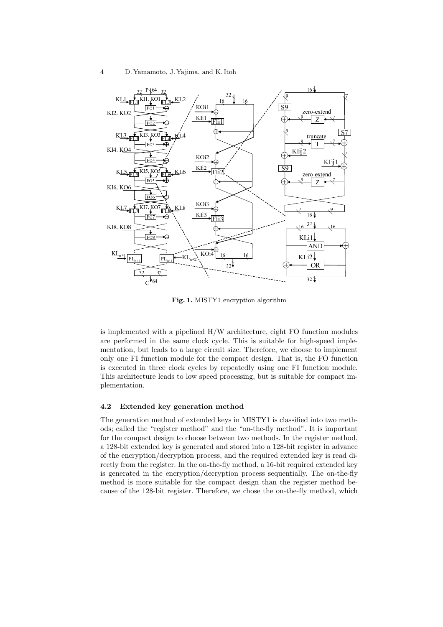

**Fig. 1.** MISTY1 encryption algorithm

is implemented with a pipelined H/W architecture, eight FO function modules are performed in the same clock cycle. This is suitable for high-speed implementation, but leads to a large circuit size. Therefore, we choose to implement only one FI function module for the compact design. That is, the FO function is executed in three clock cycles by repeatedly using one FI function module. This architecture leads to low speed processing, but is suitable for compact implementation.

### **4.2 Extended key generation method**

The generation method of extended keys in MISTY1 is classified into two methods; called the "register method" and the "on-the-fly method". It is important for the compact design to choose between two methods. In the register method, a 128-bit extended key is generated and stored into a 128-bit register in advance of the encryption/decryption process, and the required extended key is read directly from the register. In the on-the-fly method, a 16-bit required extended key is generated in the encryption/decryption process sequentially. The on-the-fly method is more suitable for the compact design than the register method because of the 128-bit register. Therefore, we chose the on-the-fly method, which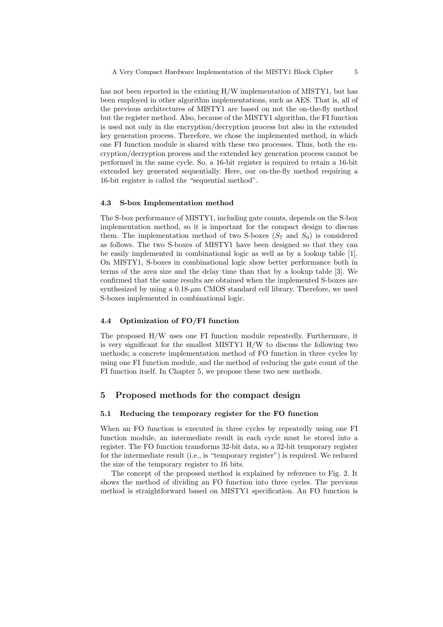has not been reported in the existing H/W implementation of MISTY1, but has been employed in other algorithm implementations, such as AES. That is, all of the previous architectures of MISTY1 are based on not the on-the-fly method but the register method. Also, because of the MISTY1 algorithm, the FI function is used not only in the encryption/decryption process but also in the extended key generation process. Therefore, we chose the implemented method, in which one FI function module is shared with these two processes. Thus, both the encryption/decryption process and the extended key generation process cannot be performed in the same cycle. So, a 16-bit register is required to retain a 16-bit extended key generated sequentially. Here, our on-the-fly method requiring a 16-bit register is called the "sequential method".

#### **4.3 S-box Implementation method**

The S-box performance of MISTY1, including gate counts, depends on the S-box implementation method, so it is important for the compact design to discuss them. The implementation method of two S-boxes  $(S_7 \text{ and } S_9)$  is considered as follows. The two S-boxes of MISTY1 have been designed so that they can be easily implemented in combinational logic as well as by a lookup table [1]. On MISTY1, S-boxes in combinational logic show better performance both in terms of the area size and the delay time than that by a lookup table [3]. We confirmed that the same results are obtained when the implemented S-boxes are synthesized by using a  $0.18 - \mu m$  CMOS standard cell library. Therefore, we used S-boxes implemented in combinational logic.

### **4.4 Optimization of FO/FI function**

The proposed H/W uses one FI function module repeatedly. Furthermore, it is very significant for the smallest MISTY1 H/W to discuss the following two methods; a concrete implementation method of FO function in three cycles by using one FI function module, and the method of reducing the gate count of the FI function itself. In Chapter 5, we propose these two new methods.

# **5 Proposed methods for the compact design**

### **5.1 Reducing the temporary register for the FO function**

When an FO function is executed in three cycles by repeatedly using one FI function module, an intermediate result in each cycle must be stored into a register. The FO function transforms 32-bit data, so a 32-bit temporary register for the intermediate result (i.e., is "temporary register") is required. We reduced the size of the temporary register to 16 bits.

The concept of the proposed method is explained by reference to Fig. 2. It shows the method of dividing an FO function into three cycles. The previous method is straightforward based on MISTY1 specification. An FO function is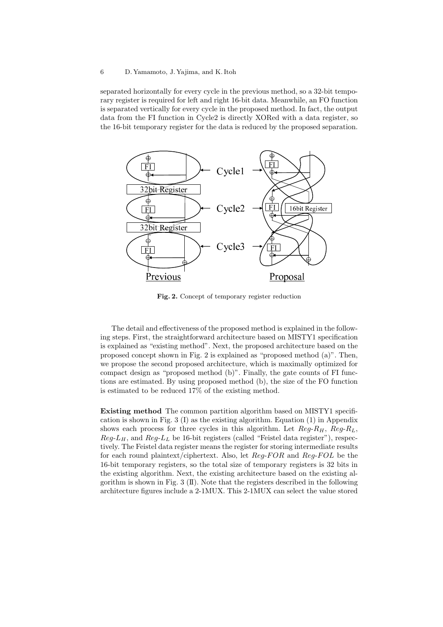#### 6 D. Yamamoto, J. Yajima, and K. Itoh

separated horizontally for every cycle in the previous method, so a 32-bit temporary register is required for left and right 16-bit data. Meanwhile, an FO function is separated vertically for every cycle in the proposed method. In fact, the output data from the FI function in Cycle2 is directly XORed with a data register, so the 16-bit temporary register for the data is reduced by the proposed separation.



**Fig. 2.** Concept of temporary register reduction

The detail and effectiveness of the proposed method is explained in the following steps. First, the straightforward architecture based on MISTY1 specification is explained as "existing method". Next, the proposed architecture based on the proposed concept shown in Fig. 2 is explained as "proposed method (a)". Then, we propose the second proposed architecture, which is maximally optimized for compact design as "proposed method (b)". Finally, the gate counts of FI functions are estimated. By using proposed method (b), the size of the FO function is estimated to be reduced 17% of the existing method.

**Existing method** The common partition algorithm based on MISTY1 specification is shown in Fig. 3 (I) as the existing algorithm. Equation (1) in Appendix shows each process for three cycles in this algorithm. Let  $Reg-R<sub>H</sub>$ ,  $Reg-R<sub>L</sub>$ ,  $Reg-L<sub>H</sub>$ , and  $Reg-L<sub>L</sub>$  be 16-bit registers (called "Feistel data register"), respectively. The Feistel data register means the register for storing intermediate results for each round plaintext/ciphertext. Also, let *Reg*-*F OR* and *Reg*-*F OL* be the 16-bit temporary registers, so the total size of temporary registers is 32 bits in the existing algorithm. Next, the existing architecture based on the existing algorithm is shown in Fig.  $3 \times I$ . Note that the registers described in the following architecture figures include a 2-1MUX. This 2-1MUX can select the value stored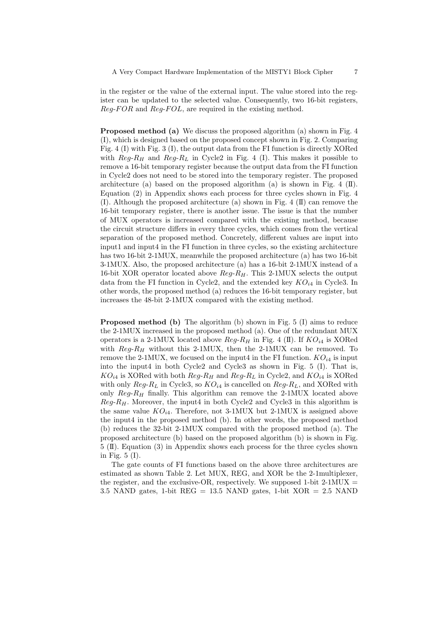in the register or the value of the external input. The value stored into the register can be updated to the selected value. Consequently, two 16-bit registers, *Reg*-*F OR* and *Reg*-*F OL*, are required in the existing method.

**Proposed method (a)** We discuss the proposed algorithm (a) shown in Fig. 4 (I), which is designed based on the proposed concept shown in Fig. 2. Comparing Fig. 4 (I) with Fig. 3 (I), the output data from the FI function is directly XORed with  $Reg-R<sub>H</sub>$  and  $Reg-R<sub>L</sub>$  in Cycle2 in Fig. 4 (I). This makes it possible to remove a 16-bit temporary register because the output data from the FI function in Cycle2 does not need to be stored into the temporary register. The proposed architecture (a) based on the proposed algorithm (a) is shown in Fig. 4  $(II)$ . Equation (2) in Appendix shows each process for three cycles shown in Fig. 4 (I). Although the proposed architecture (a) shown in Fig.  $4 \times (II)$  can remove the 16-bit temporary register, there is another issue. The issue is that the number of MUX operators is increased compared with the existing method, because the circuit structure differs in every three cycles, which comes from the vertical separation of the proposed method. Concretely, different values are input into input1 and input4 in the FI function in three cycles, so the existing architecture has two 16-bit 2-1MUX, meanwhile the proposed architecture (a) has two 16-bit 3-1MUX. Also, the proposed architecture (a) has a 16-bit 2-1MUX instead of a 16-bit XOR operator located above *Reg*-*RH*. This 2-1MUX selects the output data from the FI function in Cycle2, and the extended key  $KO<sub>i4</sub>$  in Cycle3. In other words, the proposed method (a) reduces the 16-bit temporary register, but increases the 48-bit 2-1MUX compared with the existing method.

**Proposed method (b)** The algorithm (b) shown in Fig. 5 (I) aims to reduce the 2-1MUX increased in the proposed method (a). One of the redundant MUX operators is a 2-1MUX located above  $Req$ - $R$ *H* in Fig. 4 (II). If  $KO_{i4}$  is XORed with  $Req-R$ <sup>H</sup> without this 2-1MUX, then the 2-1MUX can be removed. To remove the 2-1MUX, we focused on the input4 in the FI function.  $KO_{i4}$  is input into the input4 in both Cycle2 and Cycle3 as shown in Fig. 5 (I). That is,  $KO_{i4}$  is XORed with both  $Reg-R_H$  and  $Reg-R_L$  in Cycle2, and  $KO_{i4}$  is XORed with only  $Reg-R_L$  in Cycle3, so  $KO_{i4}$  is cancelled on  $Reg-R_L$ , and XORed with only *Reg*-*R<sup>H</sup>* finally. This algorithm can remove the 2-1MUX located above  $Reg-R<sub>H</sub>$ . Moreover, the input4 in both Cycle2 and Cycle3 in this algorithm is the same value  $KO<sub>i4</sub>$ . Therefore, not 3-1MUX but 2-1MUX is assigned above the input4 in the proposed method (b). In other words, the proposed method (b) reduces the 32-bit 2-1MUX compared with the proposed method (a). The proposed architecture (b) based on the proposed algorithm (b) is shown in Fig. 5 (II). Equation (3) in Appendix shows each process for the three cycles shown in Fig. 5 (I).

The gate counts of FI functions based on the above three architectures are estimated as shown Table 2. Let MUX, REG, and XOR be the 2-1multiplexer, the register, and the exclusive-OR, respectively. We supposed 1-bit  $2\text{-}1\text{MUX}$  = 3.5 NAND gates, 1-bit REG = 13.5 NAND gates, 1-bit  $XOR = 2.5$  NAND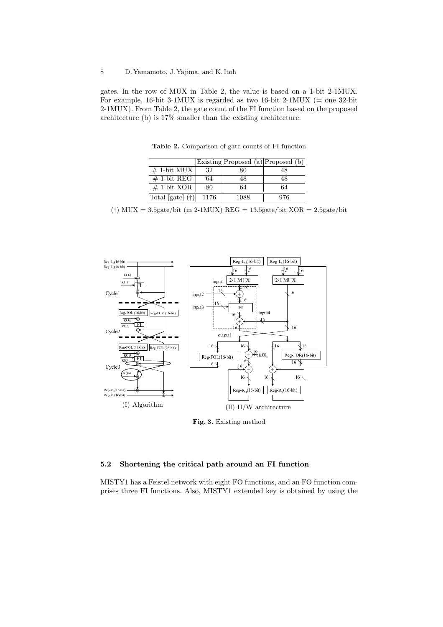gates. In the row of MUX in Table 2, the value is based on a 1-bit 2-1MUX. For example, 16-bit 3-1MUX is regarded as two 16-bit 2-1MUX ( $=$  one 32-bit 2-1MUX). From Table 2, the gate count of the FI function based on the proposed architecture (b) is 17% smaller than the existing architecture.

**Table 2.** Comparison of gate counts of FI function Existing Proposed (a) Proposed (b)

|                         |      | Existing Proposed (a) Proposed (b) |     |
|-------------------------|------|------------------------------------|-----|
| $# 1$ -bit MUX          | 32   | 80                                 | 48  |
| $# 1$ -bit REG          | 64   | 48                                 | 48  |
| $# 1-bit XOR$           | 80   | 64                                 | 64  |
| Total $[gate](\dagger)$ | 1176 | 1088                               | 976 |

(*†*) MUX = 3.5gate/bit (in 2-1MUX) REG = 13.5gate/bit XOR = 2.5gate/bit



**Fig. 3.** Existing method

# **5.2 Shortening the critical path around an FI function**

MISTY1 has a Feistel network with eight FO functions, and an FO function comprises three FI functions. Also, MISTY1 extended key is obtained by using the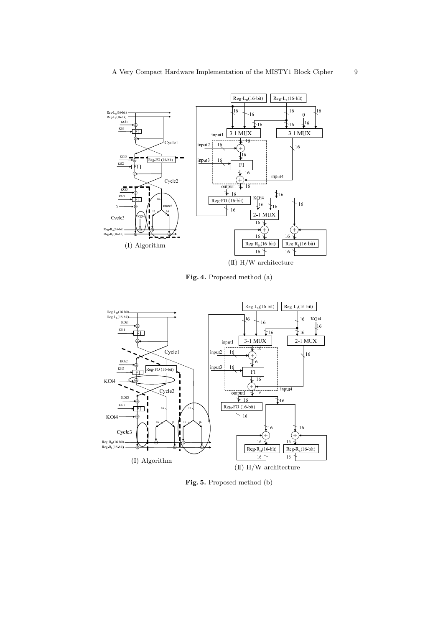

İП </u> 

---

a nel

Φ— <u>\$৺★</u> → ¥ KO. i4

(I) Algorithm

 $_{\rm KO}$ Б K li3  $0 -$ 

Cycle3

Reg-R<sub>11</sub>(16-bit)<br>Reg-R<sub>1</sub>(16-bit)

**Fig. 4.** Proposed method (a)

 $Reof FQ(16-bit)$ 16

 $-16$ 

 $\mathbf{\hat{J}}^{16}$ 

 $\frac{1}{2}16$ 

 $\widehat{+}$   $\widehat{+}$ 

-

16  $R_{\text{eg}} R_{\text{L}}(16 \text{ bit})$ 

-

2-1 MUX |  $\frac{1}{6}$ KO<sub>i</sub>4

 $\overline{16}$ 

16

 $16$ 

(II) H/W architecture

 $Reg-R<sub>H</sub>(16-bit)$ 



**Fig. 5.** Proposed method (b)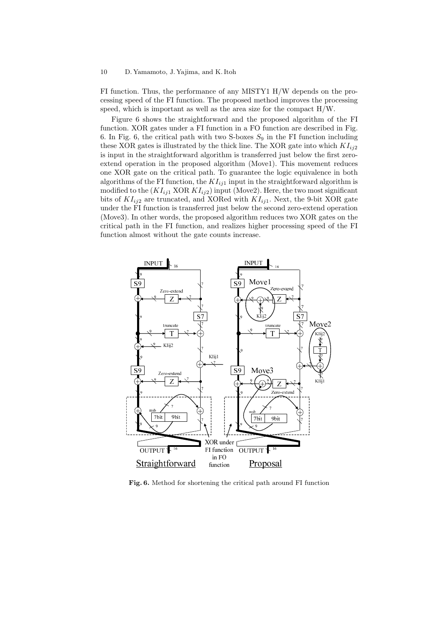#### 10 D. Yamamoto, J. Yajima, and K. Itoh

FI function. Thus, the performance of any MISTY1 H/W depends on the processing speed of the FI function. The proposed method improves the processing speed, which is important as well as the area size for the compact H/W.

Figure 6 shows the straightforward and the proposed algorithm of the FI function. XOR gates under a FI function in a FO function are described in Fig. 6. In Fig. 6, the critical path with two S-boxes  $S_9$  in the FI function including these XOR gates is illustrated by the thick line. The XOR gate into which  $KI_{ii2}$ is input in the straightforward algorithm is transferred just below the first zeroextend operation in the proposed algorithm (Move1). This movement reduces one XOR gate on the critical path. To guarantee the logic equivalence in both algorithms of the FI function, the  $KI_{ij1}$  input in the straightforward algorithm is modified to the  $(KI_{ij1} \text{ XOR } KI_{ij2})$  input (Move2). Here, the two most significant bits of  $KI_{ii2}$  are truncated, and XORed with  $KI_{ii1}$ . Next, the 9-bit XOR gate under the FI function is transferred just below the second zero-extend operation (Move3). In other words, the proposed algorithm reduces two XOR gates on the critical path in the FI function, and realizes higher processing speed of the FI function almost without the gate counts increase.



**Fig. 6.** Method for shortening the critical path around FI function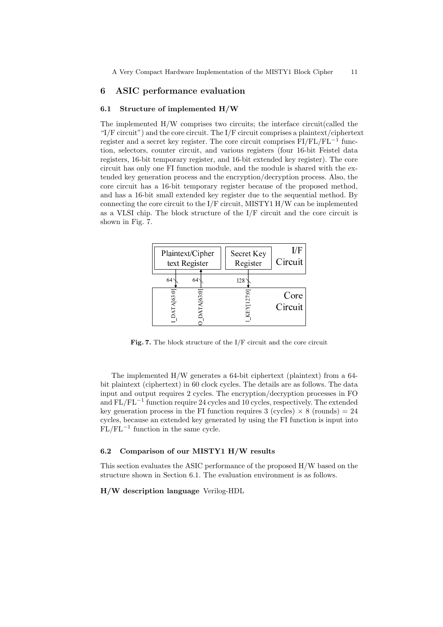## **6 ASIC performance evaluation**

### **6.1 Structure of implemented H/W**

The implemented H/W comprises two circuits; the interface circuit(called the "I/F circuit") and the core circuit. The I/F circuit comprises a plaintext/ciphertext register and a secret key register. The core circuit comprises FI/FL/FL*−*<sup>1</sup> function, selectors, counter circuit, and various registers (four 16-bit Feistel data registers, 16-bit temporary register, and 16-bit extended key register). The core circuit has only one FI function module, and the module is shared with the extended key generation process and the encryption/decryption process. Also, the core circuit has a 16-bit temporary register because of the proposed method, and has a 16-bit small extended key register due to the sequential method. By connecting the core circuit to the I/F circuit, MISTY1 H/W can be implemented as a VLSI chip. The block structure of the I/F circuit and the core circuit is shown in Fig. 7.



**Fig. 7.** The block structure of the I/F circuit and the core circuit

The implemented H/W generates a 64-bit ciphertext (plaintext) from a 64 bit plaintext (ciphertext) in 60 clock cycles. The details are as follows. The data input and output requires 2 cycles. The encryption/decryption processes in FO and FL/FL*−*<sup>1</sup> function require 24 cycles and 10 cycles, respectively. The extended key generation process in the FI function requires  $3$  (cycles)  $\times$  8 (rounds) = 24 cycles, because an extended key generated by using the FI function is input into FL/FL*−*<sup>1</sup> function in the same cycle.

## **6.2 Comparison of our MISTY1 H/W results**

This section evaluates the ASIC performance of the proposed H/W based on the structure shown in Section 6.1. The evaluation environment is as follows.

**H/W description language** Verilog-HDL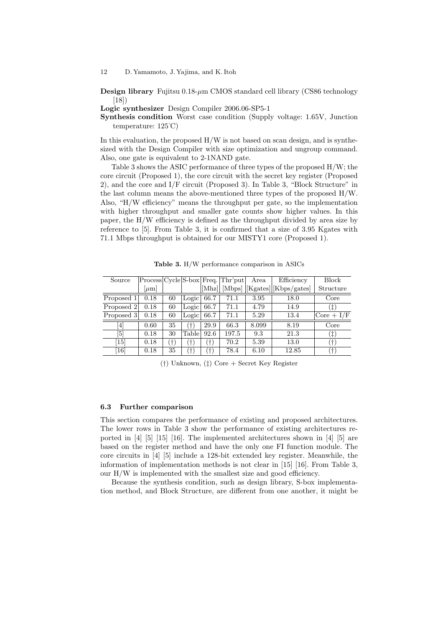**Design library** Fujitsu 0.18-μm CMOS standard cell library (CS86 technology [18])

**Logic synthesizer** Design Compiler 2006.06-SP5-1

**Synthesis condition** Worst case condition (Supply voltage: 1.65V, Junction temperature: 125˚C)

In this evaluation, the proposed  $H/W$  is not based on scan design, and is synthesized with the Design Compiler with size optimization and ungroup command. Also, one gate is equivalent to 2-1NAND gate.

Table 3 shows the ASIC performance of three types of the proposed H/W; the core circuit (Proposed 1), the core circuit with the secret key register (Proposed 2), and the core and I/F circuit (Proposed 3). In Table 3, "Block Structure" in the last column means the above-mentioned three types of the proposed H/W. Also, "H/W efficiency" means the throughput per gate, so the implementation with higher throughput and smaller gate counts show higher values. In this paper, the H/W efficiency is defined as the throughput divided by area size by reference to [5]. From Table 3, it is confirmed that a size of 3.95 Kgates with 71.1 Mbps throughput is obtained for our MISTY1 core (Proposed 1).

| Source                                                                                                                                                                                |           |    |             |                | $Process[Cycle S-box Freq.]$ Thr'put | Area  | Efficiency                   | <b>Block</b>       |
|---------------------------------------------------------------------------------------------------------------------------------------------------------------------------------------|-----------|----|-------------|----------------|--------------------------------------|-------|------------------------------|--------------------|
|                                                                                                                                                                                       | $ \mu m $ |    |             | [Mhz]          |                                      |       | [Mbps] [Kgates]][Kbps/gates] | Structure          |
| Proposed 1                                                                                                                                                                            | 0.18      | 60 | Logic       | 66.7           | 71.1                                 | 3.95  | 18.0                         | Core               |
| Proposed 2                                                                                                                                                                            | 0.18      | 60 | Logic       | 66.7           | 71.1                                 | 4.79  | 14.9                         | $^{(\ddag)}$       |
| Proposed 3                                                                                                                                                                            | 0.18      | 60 | Logic       | 66.7           | 71.1                                 | 5.29  | 13.4                         | $\vert$ Core + I/F |
| $[4] % \includegraphics[width=1\textwidth]{images/TrDiM-Architecture.png} \caption{The figure shows the results of the estimators in the left hand side.} \label{TrDiM-Architecture}$ | 0.60      | 35 | (†)         | 29.9           | 66.3                                 | 8.099 | 8.19                         | Core               |
| $\lceil 5 \rceil$                                                                                                                                                                     | 0.18      | 30 | Table       | 92.6           | 197.5                                | 9.3   | 21.3                         | $^{(\ddag)}$       |
| <sup>15</sup>                                                                                                                                                                         | 0.18      | Ť) | $\ddagger)$ | $^{\prime}$ t) | 70.2                                 | 5.39  | 13.0                         | $\dagger$          |
| 16                                                                                                                                                                                    | 0.18      | 35 | $\ddagger)$ | $^{\prime}$ t) | 78.4                                 | 6.10  | 12.85                        | $^{+}$             |

**Table 3.** H/W performance comparison in ASICs

(*†*) Unknown, (*‡*) Core + Secret Key Register

#### **6.3 Further comparison**

This section compares the performance of existing and proposed architectures. The lower rows in Table 3 show the performance of existing architectures reported in [4] [5] [15] [16]. The implemented architectures shown in [4] [5] are based on the register method and have the only one FI function module. The core circuits in [4] [5] include a 128-bit extended key register. Meanwhile, the information of implementation methods is not clear in [15] [16]. From Table 3, our H/W is implemented with the smallest size and good efficiency.

Because the synthesis condition, such as design library, S-box implementation method, and Block Structure, are different from one another, it might be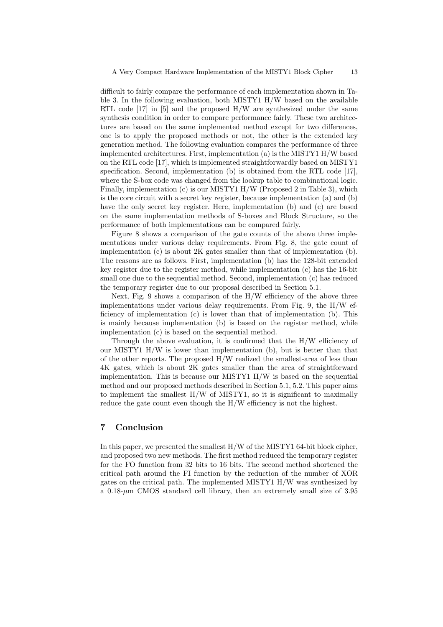difficult to fairly compare the performance of each implementation shown in Table 3. In the following evaluation, both MISTY1 H/W based on the available RTL code [17] in [5] and the proposed H/W are synthesized under the same synthesis condition in order to compare performance fairly. These two architectures are based on the same implemented method except for two differences, one is to apply the proposed methods or not, the other is the extended key generation method. The following evaluation compares the performance of three implemented architectures. First, implementation (a) is the MISTY1 H/W based on the RTL code [17], which is implemented straightforwardly based on MISTY1 specification. Second, implementation (b) is obtained from the RTL code [17], where the S-box code was changed from the lookup table to combinational logic. Finally, implementation (c) is our MISTY1 H/W (Proposed 2 in Table 3), which is the core circuit with a secret key register, because implementation (a) and (b) have the only secret key register. Here, implementation (b) and (c) are based on the same implementation methods of S-boxes and Block Structure, so the performance of both implementations can be compared fairly.

Figure 8 shows a comparison of the gate counts of the above three implementations under various delay requirements. From Fig. 8, the gate count of implementation (c) is about 2K gates smaller than that of implementation (b). The reasons are as follows. First, implementation (b) has the 128-bit extended key register due to the register method, while implementation (c) has the 16-bit small one due to the sequential method. Second, implementation (c) has reduced the temporary register due to our proposal described in Section 5.1.

Next, Fig. 9 shows a comparison of the H/W efficiency of the above three implementations under various delay requirements. From Fig. 9, the H/W efficiency of implementation (c) is lower than that of implementation (b). This is mainly because implementation (b) is based on the register method, while implementation (c) is based on the sequential method.

Through the above evaluation, it is confirmed that the H/W efficiency of our MISTY1 H/W is lower than implementation (b), but is better than that of the other reports. The proposed H/W realized the smallest-area of less than 4K gates, which is about 2K gates smaller than the area of straightforward implementation. This is because our MISTY1 H/W is based on the sequential method and our proposed methods described in Section 5.1, 5.2. This paper aims to implement the smallest H/W of MISTY1, so it is significant to maximally reduce the gate count even though the H/W efficiency is not the highest.

# **7 Conclusion**

In this paper, we presented the smallest H/W of the MISTY1 64-bit block cipher, and proposed two new methods. The first method reduced the temporary register for the FO function from 32 bits to 16 bits. The second method shortened the critical path around the FI function by the reduction of the number of XOR gates on the critical path. The implemented MISTY1 H/W was synthesized by a 0.18-*µ*m CMOS standard cell library, then an extremely small size of 3.95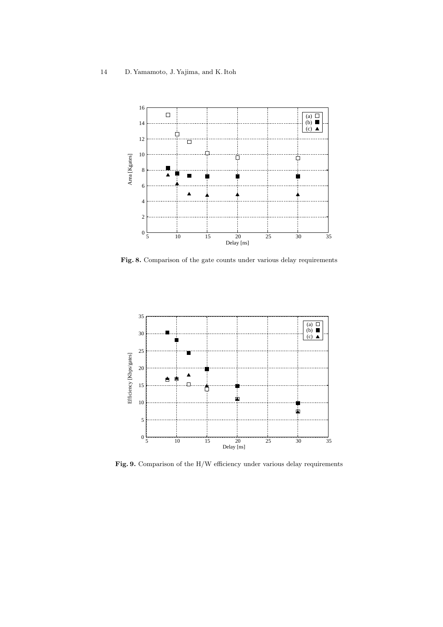

Fig. 8. Comparison of the gate counts under various delay requirements



Fig. 9. Comparison of the H/W efficiency under various delay requirements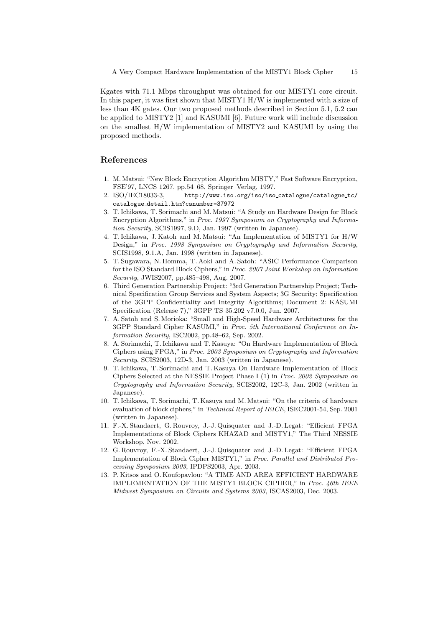Kgates with 71.1 Mbps throughput was obtained for our MISTY1 core circuit. In this paper, it was first shown that MISTY1 H/W is implemented with a size of less than 4K gates. Our two proposed methods described in Section 5.1, 5.2 can be applied to MISTY2 [1] and KASUMI [6]. Future work will include discussion on the smallest H/W implementation of MISTY2 and KASUMI by using the proposed methods.

# **References**

- 1. M. Matsui: "New Block Encryption Algorithm MISTY," Fast Software Encryption, FSE'97, LNCS 1267, pp.54–68, Springer–Verlag, 1997.
- 2. ISO/IEC18033-3, http://www.iso.org/iso/iso catalogue/catalogue tc/ catalogue detail.htm?csnumber=37972
- 3. T. Ichikawa, T. Sorimachi and M. Matsui: "A Study on Hardware Design for Block Encryption Algorithms," in *Proc. 1997 Symposium on Cryptography and Information Security*, SCIS1997, 9.D, Jan. 1997 (written in Japanese).
- 4. T. Ichikawa, J. Katoh and M. Matsui: "An Implementation of MISTY1 for H/W Design," in *Proc. 1998 Symposium on Cryptography and Information Security*, SCIS1998, 9.1.A, Jan. 1998 (written in Japanese).
- 5. T. Sugawara, N. Homma, T. Aoki and A. Satoh: "ASIC Performance Comparison for the ISO Standard Block Ciphers," in *Proc. 2007 Joint Workshop on Information Security*, JWIS2007, pp.485–498, Aug. 2007.
- 6. Third Generation Partnership Project: "3rd Generation Partnership Project; Technical Specification Group Services and System Aspects; 3G Security; Specification of the 3GPP Confidentiality and Integrity Algorithms; Document 2: KASUMI Specification (Release 7)," 3GPP TS 35.202 v7.0.0, Jun. 2007.
- 7. A. Satoh and S. Morioka: "Small and High-Speed Hardware Architectures for the 3GPP Standard Cipher KASUMI," in *Proc. 5th International Conference on Information Security*, ISC2002, pp.48–62, Sep. 2002.
- 8. A. Sorimachi, T. Ichikawa and T. Kasuya: "On Hardware Implementation of Block Ciphers using FPGA," in *Proc. 2003 Symposium on Cryptography and Information Security*, SCIS2003, 12D-3, Jan. 2003 (written in Japanese).
- 9. T. Ichikawa, T. Sorimachi and T. Kasuya On Hardware Implementation of Block Ciphers Selected at the NESSIE Project Phase I (1) in *Proc. 2002 Symposium on Cryptography and Information Security*, SCIS2002, 12C-3, Jan. 2002 (written in Japanese).
- 10. T. Ichikawa, T. Sorimachi, T. Kasuya and M. Matsui: "On the criteria of hardware evaluation of block ciphers," in *Technical Report of IEICE*, ISEC2001-54, Sep. 2001 (written in Japanese).
- 11. F.-X. Standaert, G. Rouvroy, J.-J. Quisquater and J.-D. Legat: "Efficient FPGA Implementations of Block Ciphers KHAZAD and MISTY1," The Third NESSIE Workshop, Nov. 2002.
- 12. G. Rouvroy, F.-X. Standaert, J.-J. Quisquater and J.-D. Legat: "Efficient FPGA Implementation of Block Cipher MISTY1," in *Proc. Parallel and Distributed Processing Symposium 2003*, IPDPS2003, Apr. 2003.
- 13. P. Kitsos and O. Koufopavlou: "A TIME AND AREA EFFICIENT HARDWARE IMPLEMENTATION OF THE MISTY1 BLOCK CIPHER," in *Proc. 46th IEEE Midwest Symposium on Circuits and Systems 2003*, ISCAS2003, Dec. 2003.